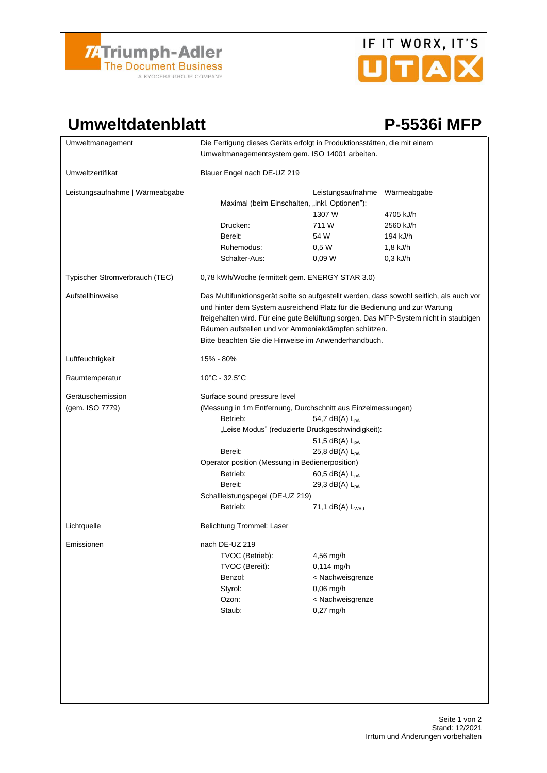

# IF IT WORX, IT'S UTAX

### Umweltdatenblatt P-5536i MFP

| Umweltmanagement                    | Die Fertigung dieses Geräts erfolgt in Produktionsstätten, die mit einem<br>Umweltmanagementsystem gem. ISO 14001 arbeiten.                                                                                                                                                                                                                                                  |                                                                                               |                          |
|-------------------------------------|------------------------------------------------------------------------------------------------------------------------------------------------------------------------------------------------------------------------------------------------------------------------------------------------------------------------------------------------------------------------------|-----------------------------------------------------------------------------------------------|--------------------------|
| Umweltzertifikat                    | Blauer Engel nach DE-UZ 219                                                                                                                                                                                                                                                                                                                                                  |                                                                                               |                          |
| Leistungsaufnahme   Wärmeabgabe     | Maximal (beim Einschalten, "inkl. Optionen"):                                                                                                                                                                                                                                                                                                                                | Leistungsaufnahme<br>1307 W                                                                   | Wärmeabgabe<br>4705 kJ/h |
|                                     | Drucken:                                                                                                                                                                                                                                                                                                                                                                     | 711 W                                                                                         | 2560 kJ/h                |
|                                     | Bereit:                                                                                                                                                                                                                                                                                                                                                                      | 54 W                                                                                          | 194 kJ/h                 |
|                                     | Ruhemodus:                                                                                                                                                                                                                                                                                                                                                                   | 0,5W                                                                                          | $1,8$ kJ/h               |
|                                     | Schalter-Aus:                                                                                                                                                                                                                                                                                                                                                                | 0.09 <sub>W</sub>                                                                             | $0,3$ kJ/h               |
| Typischer Stromverbrauch (TEC)      | 0,78 kWh/Woche (ermittelt gem. ENERGY STAR 3.0)                                                                                                                                                                                                                                                                                                                              |                                                                                               |                          |
| Aufstellhinweise                    | Das Multifunktionsgerät sollte so aufgestellt werden, dass sowohl seitlich, als auch vor<br>und hinter dem System ausreichend Platz für die Bedienung und zur Wartung<br>freigehalten wird. Für eine gute Belüftung sorgen. Das MFP-System nicht in staubigen<br>Räumen aufstellen und vor Ammoniakdämpfen schützen.<br>Bitte beachten Sie die Hinweise im Anwenderhandbuch. |                                                                                               |                          |
| Luftfeuchtigkeit                    | 15% - 80%                                                                                                                                                                                                                                                                                                                                                                    |                                                                                               |                          |
| Raumtemperatur                      | 10°C - 32,5°C                                                                                                                                                                                                                                                                                                                                                                |                                                                                               |                          |
| Geräuschemission<br>(gem. ISO 7779) | Surface sound pressure level<br>(Messung in 1m Entfernung, Durchschnitt aus Einzelmessungen)<br>Betrieb:<br>54,7 dB(A) $L_{DA}$<br>"Leise Modus" (reduzierte Druckgeschwindigkeit):<br>51,5 dB(A) $L_{DA}$<br>Bereit:<br>25,8 dB(A) $L_{pA}$<br>Operator position (Messung in Bedienerposition)<br>Betrieb:<br>60,5 dB(A) $L_{pA}$                                           |                                                                                               |                          |
|                                     | Bereit:                                                                                                                                                                                                                                                                                                                                                                      | 29,3 dB(A) $L_{pA}$                                                                           |                          |
|                                     | Schallleistungspegel (DE-UZ 219)                                                                                                                                                                                                                                                                                                                                             |                                                                                               |                          |
|                                     | Betrieb:                                                                                                                                                                                                                                                                                                                                                                     | 71,1 dB(A) L <sub>WAd</sub>                                                                   |                          |
| Lichtquelle                         | Belichtung Trommel: Laser                                                                                                                                                                                                                                                                                                                                                    |                                                                                               |                          |
| Emissionen                          | nach DE-UZ 219<br>TVOC (Betrieb):<br>TVOC (Bereit):<br>Benzol:<br>Styrol:<br>Ozon:<br>Staub:                                                                                                                                                                                                                                                                                 | 4,56 mg/h<br>0,114 mg/h<br>< Nachweisgrenze<br>$0,06$ mg/h<br>< Nachweisgrenze<br>$0,27$ mg/h |                          |